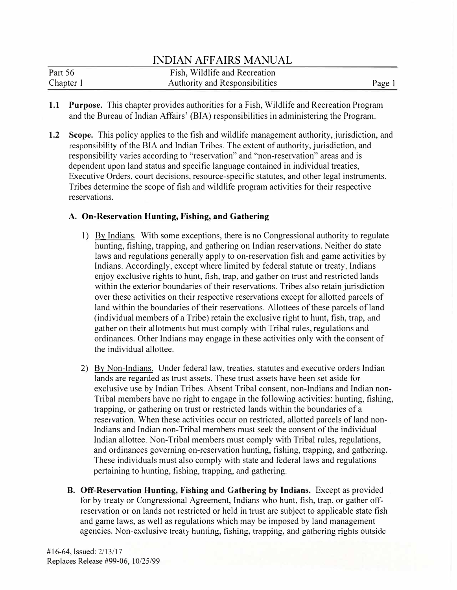| Part 56   | Fish, Wildlife and Recreation         |      |
|-----------|---------------------------------------|------|
| Chapter 1 | <b>Authority and Responsibilities</b> | Page |

- **1.1 Purpose.** This chapter provides authorities for a Fish, Wildlife and Recreation Program and the Bureau of Indian Affairs' (BIA) responsibilities in administering the Program.
- **1.2 Scope.** This policy applies to the fish and wildlife management authority, jurisdiction, and responsibility of the BIA and Indian Tribes. The extent of authority, jurisdiction, and responsibility varies according to "reservation" and "non-reservation" areas and is dependent upon land status and specific language contained in individual treaties, Executive Orders, court decisions, resource-specific statutes, and other legal instruments. Tribes determine the scope of fish and wildlife program activities for their respective reservations.

## **A. On-Reservation Hunting, Fishing, and Gathering**

- 1) By Indians. With some exceptions, there is no Congressional authority to regulate hunting, fishing, trapping, and gathering on Indian reservations. Neither do state laws and regulations generally apply to on-reservation fish and game activities by Indians. Accordingly, except where limited by federal statute or treaty, Indians enjoy exclusive rights to hunt, fish, trap, and gather on trust and restricted lands within the exterior boundaries of their reservations. Tribes also retain jurisdiction over these activities on their respective reservations except for allotted parcels of land within the boundaries of their reservations. Allottees of these parcels of land (individual members of a Tribe) retain the exclusive right to hunt, fish, trap, and gather on their allotments but must comply with Tribal rules, regulations and ordinances. Other Indians may engage in these activities only with the consent of the individual allottee.
- 2) By Non-Indians. Under federal law, treaties, statutes and executive orders Indian lands are regarded as trust assets. These trust assets have been set aside for exclusive use by Indian Tribes. Absent Tribal consent, non-Indians and Indian non-Tribal members have no right to engage in the following activities: hunting, fishing, trapping, or gathering on trust or restricted lands within the boundaries of a reservation. When these activities occur on restricted, allotted parcels of land non-Indians and Indian non-Tribal members must seek the consent of the individual Indian allottee. Non-Tribal members must comply with Tribal rules, regulations, and ordinances governing on-reservation hunting, fishing, trapping, and gathering. These individuals must also comply with state and federal laws and regulations pertaining to hunting, fishing, trapping, and gathering.
- **B. Off-Reservation Hunting, Fishing and Gathering** by **Indians.** Except as provided for by treaty or Congressional Agreement, Indians who hunt, fish, trap, or gather offreservation or on lands not restricted or held in trust are subject to applicable state fish and game laws, as well as regulations which may be imposed by land management agencies. Non-exclusive treaty hunting, fishing, trapping, and gathering rights outside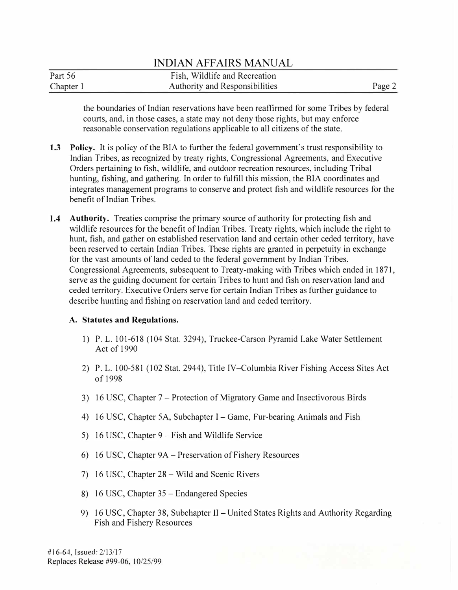| Part 56   | Fish, Wildlife and Recreation         |        |
|-----------|---------------------------------------|--------|
| Chapter 1 | <b>Authority and Responsibilities</b> | Page 2 |

the boundaries of Indian reservations have been reaffirmed for some Tribes by federal courts, and, in those cases, a state may not deny those rights, but may enforce reasonable conservation regulations applicable to all citizens of the state.

- **1.3** Policy. It is policy of the BIA to further the federal government's trust responsibility to Indian Tribes, as recognized by treaty rights, Congressional Agreements, and Executive Orders pertaining to fish, wildlife, and outdoor recreation resources, including Tribal hunting, fishing, and gathering. In order to fulfill this mission, the BIA coordinates and integrates management programs to conserve and protect fish and wildlife resources for the benefit of Indian Tribes.
- **1.4 Authority.** Treaties comprise the primary source of authority for protecting fish and wildlife resources for the benefit of Indian Tribes. Treaty rights, which include the right to hunt, fish, and gather on established reservation land and certain other ceded territory, have been reserved to certain Indian Tribes. These rights are granted in perpetuity in exchange for the vast amounts of land ceded to the federal government by Indian Tribes. Congressional Agreements, subsequent to Treaty-making with Tribes which ended in 1871, serve as the guiding document for certain Tribes to hunt and fish on reservation land and ceded territory. Executive Orders serve for certain Indian Tribes as further guidance to describe hunting and fishing on reservation land and ceded territory.

## **A. Statutes and Regulations.**

- 1) P. L. 101-618 (104 Stat. 3294), Truckee-Carson Pyramid Lake Water Settlement Act of 1990
- 2) P. L. 100-581 (102 Stat. 2944), Title IV-Columbia River Fishing Access Sites Act of 1998
- 3) 16 USC, Chapter 7 -Protection of Migratory Game and Insectivorous Birds
- 4) 16 USC, Chapter SA, Subchapter I-Game, Fur-bearing Animals and Fish
- 5) 16 USC, Chapter 9 Fish and Wildlife Service
- 6) 16 USC, Chapter 9A- Preservation of Fishery Resources
- 7) 16 USC, Chapter 28 Wild and Scenic Rivers
- 8) 16 USC, Chapter 35 Endangered Species
- 9) 16 USC, Chapter 38, Subchapter II United States Rights and Authority Regarding Fish and Fishery Resources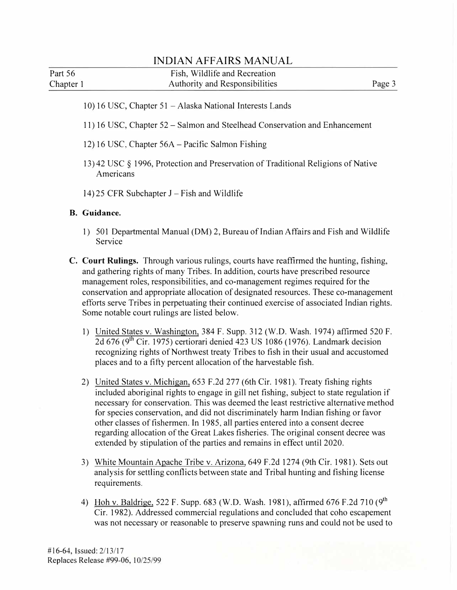| Part 56   | Fish, Wildlife and Recreation  |        |
|-----------|--------------------------------|--------|
| Chapter 1 | Authority and Responsibilities | Page 3 |

- 10) 16 USC, Chapter 51 Alaska National Interests Lands
- 11) 16 USC, Chapter 52- Salmon and Steelhead Conservation and Enhancement
- 12) 16 USC, Chapter 56A Pacific Salmon Fishing
- 13) 42 USC § 1996, Protection and Preservation of Traditional Religions of Native Americans
- $14$ ) 25 CFR Subchapter J Fish and Wildlife

### **B. Guidance.**

- 1) 501 Departmental Manual (DM) 2, Bureau of Indian Affairs and Fish and Wildlife Service
- C. **Court Rulings.** Through various rulings, courts have reaffirmed the hunting, fishing, and gathering rights of many Tribes. In addition, courts have prescribed resource management roles, responsibilities, and co-management regimes required for the conservation and appropriate allocation of designated resources. These co-management efforts serve Tribes in perpetuating their continued exercise of associated Indian rights. Some notable court rulings are listed below.
	- 1) United States v. Washington, 384 F. Supp. 312 (W.D. Wash. 1974) affirmed 520 F. 2d 676 ( $9<sup>th</sup>$  Cir. 1975) certiorari denied 423 US 1086 (1976). Landmark decision recognizing rights of Northwest treaty Tribes to fish in their usual and accustomed places and to a fifty percent allocation of the harvestable fish.
	- 2) United States v. Michigan, 653 F.2d 277 (6th Cir. 1981). Treaty fishing rights included aboriginal rights to engage in gill net fishing, subject to state regulation if necessary for conservation. This was deemed the least restrictive alternative method for species conservation, and did not discriminately harm Indian fishing or favor other classes of fishermen. In 1985, all parties entered into a consent decree regarding allocation of the Great Lakes fisheries. The original consent decree was extended by stipulation of the parties and remains in effect until 2020.
	- 3) White Mountain Apache Tribe v. Arizona, 649 F.2d 1274 (9th Cir. 1981). Sets out analysis for settling conflicts between state and Tribal hunting and fishing license requirements.
	- 4) Hoh v. Baldrige, 522 F. Supp. 683 (W.D. Wash. 1981), affirmed 676 F.2d 710 (9th Cir. 1982). Addressed commercial regulations and concluded that coho escapement was not necessary or reasonable to preserve spawning runs and could not be used to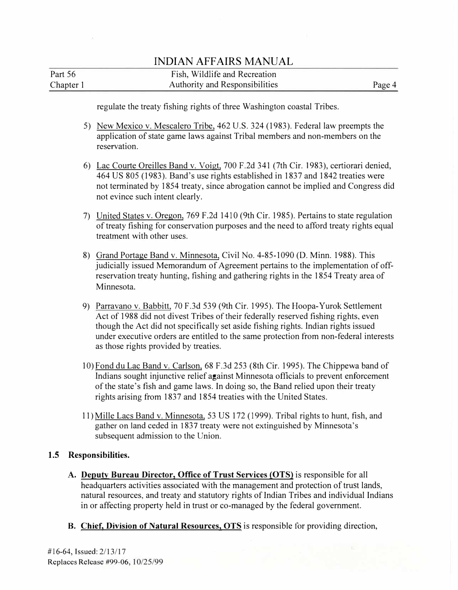| Part 56   | Fish, Wildlife and Recreation  |        |
|-----------|--------------------------------|--------|
| Chapter 1 | Authority and Responsibilities | Page 4 |

regulate the treaty fishing rights of three Washington coastal Tribes.

- 5) New Mexico v. Mescalero Tribe, 462 U.S. 324 (1983). Federal law preempts the application of state game laws against Tribal members and non-members on the reservation.
- 6) Lac Courte Oreilles Band v. Voigt, 700 F.2d 341 (7th Cir. 1983), certiorari denied, 464 US 805 (1983). Band's use rights established in 1837 and 1842 treaties were not terminated by 1854 treaty, since abrogation cannot be implied and Congress did not evince such intent clearly.
- 7) United States v. Oregon, 769 F.2d 1410 (9th Cir. 1985). Pertains to state regulation of treaty fishing for conservation purposes and the need to afford treaty rights equal treatment with other uses.
- 8) Grand Portage Band v. Minnesota, Civil No. 4-85-1090 (D. Minn. 1988). This judicially issued Memorandum of Agreement pertains to the implementation of offreservation treaty hunting, fishing and gathering rights in the 1854 Treaty area of Minnesota.
- 9) Parravano v. Babbitt, 70 F.3d 539 (9th Cir. 1995). The Hoopa-Yurok Settlement Act of 1988 did not divest Tribes of their federally reserved fishing rights, even though the Act did not specifically set aside fishing rights. Indian rights issued under executive orders are entitled to the same protection from non-federal interests as those rights provided by treaties.
- 10) Fond du Lac Band v. Carlson, 68 F.3d 253 (8th Cir. 1995). The Chippewa band of Indians sought injunctive relief against Minnesota officials to prevent enforcement of the state's fish and game laws. In doing so, the Band relied upon their treaty rights arising from 1837 and 1854 treaties with the United States.
- 11) Mille Lacs Band v. Minnesota, 53 US 172 (1999). Tribal rights to hunt, fish, and gather on land ceded in 1837 treaty were not extinguished by Minnesota's subsequent admission to the Union.

## **1.5 Responsibilities.**

- **A. Deputy Bureau Director, Office of Trust Services (OTS)** is responsible for all headquarters activities associated with the management and protection of trust lands, natural resources, and treaty and statutory rights of Indian Tribes and individual Indians in or affecting property held in trust or co-managed by the federal government.
- B. **Chief, Division of Natural Resources, OTS** is responsible for providing direction,